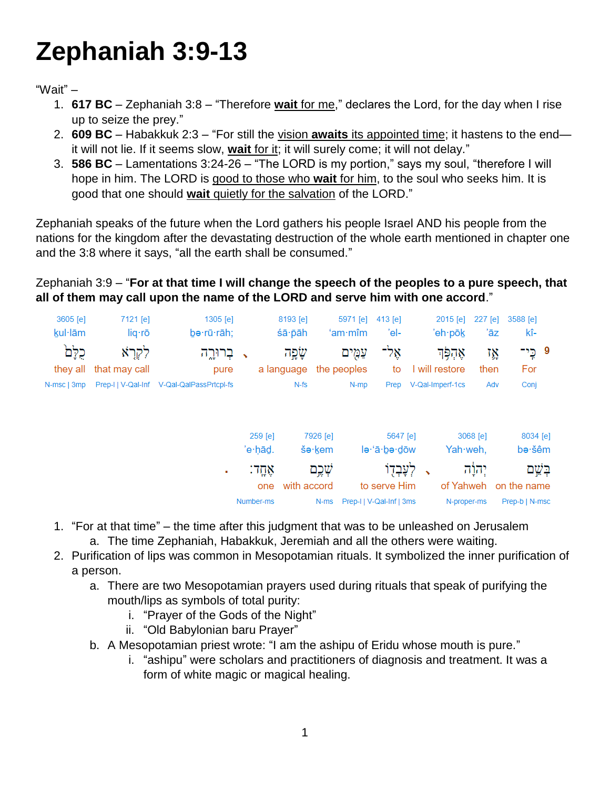# **Zephaniah 3:9-13**

"Wait" –

- 1. **617 BC** Zephaniah 3:8 "Therefore **wait** for me," declares the Lord, for the day when I rise up to seize the prey."
- 2. **609 BC** Habakkuk 2:3 "For still the vision **awaits** its appointed time; it hastens to the end it will not lie. If it seems slow, **wait** for it; it will surely come; it will not delay."
- 3. **586 BC** Lamentations 3:24-26 "The LORD is my portion," says my soul, "therefore I will hope in him. The LORD is good to those who **wait** for him, to the soul who seeks him. It is good that one should **wait** quietly for the salvation of the LORD."

Zephaniah speaks of the future when the Lord gathers his people Israel AND his people from the nations for the kingdom after the devastating destruction of the whole earth mentioned in chapter one and the 3:8 where it says, "all the earth shall be consumed."

Zephaniah 3:9 – "**For at that time I will change the speech of the peoples to a pure speech, that all of them may call upon the name of the LORD and serve him with one accord**."

| 3605 [e]<br>kul·lām | 7121 [e]<br>liq·rō    | 1305 [e]<br>be·rū·rāh;                    |                    | 8193 [e]<br>śā pāh    | 5971 [e]<br>$'$ am $\cdot$ mîm | $413$ [e]<br>'el-        | 2015 [e]<br>'eh∙pōk        | 227 [e]<br>'āz | 3588 [e]<br>kî-    |         |
|---------------------|-----------------------|-------------------------------------------|--------------------|-----------------------|--------------------------------|--------------------------|----------------------------|----------------|--------------------|---------|
| כלם<br>they all     | לקרא<br>that may call | בְרוּרֱה<br>pure                          |                    | שְׁפָּה<br>a language | עַמִים<br>the peoples          | אַל־<br>to               | אַהִפְּד<br>I will restore | ٦Ņ<br>then     | 9 כֶּי־<br>For     |         |
| N-msc   3mp         |                       | Prep-I   V-Qal-Inf V-Qal-QalPassPrtcpl-fs |                    | $N-fs$                | N-mp                           | Prep                     | V-Qal-Imperf-1cs           | Adv            | Conj               |         |
|                     |                       |                                           |                    |                       |                                |                          |                            |                |                    |         |
|                     |                       |                                           | 259 [e]<br>'e∙hād. |                       | 7926 [e]<br>še·kem             | 5647 [e]<br>le·'ā·be·dōw | Yah weh,                   | 3068 [e]       | 8034 [e]<br>bə∙šêm |         |
|                     |                       | ٠                                         | אֲחֱדֿ:            |                       | שְׁכֶם                         | לְעָבְדָוֹ               |                            | יְהוָׂה        |                    | בְּשֵׁם |
|                     |                       |                                           | one                | with accord           |                                | to serve Him             | of Yahweh                  |                | on the name        |         |
|                     |                       |                                           | Number-ms          |                       | N-ms                           | Prep-I   V-Qal-Inf   3ms | N-proper-ms                |                | Prep-b   N-msc     |         |

- 1. "For at that time" the time after this judgment that was to be unleashed on Jerusalem a. The time Zephaniah, Habakkuk, Jeremiah and all the others were waiting.
- 2. Purification of lips was common in Mesopotamian rituals. It symbolized the inner purification of a person.
	- a. There are two Mesopotamian prayers used during rituals that speak of purifying the mouth/lips as symbols of total purity:
		- i. "Prayer of the Gods of the Night"
		- ii. "Old Babylonian baru Prayer"
	- b. A Mesopotamian priest wrote: "I am the ashipu of Eridu whose mouth is pure."
		- i. "ashipu" were scholars and practitioners of diagnosis and treatment. It was a form of white magic or magical healing.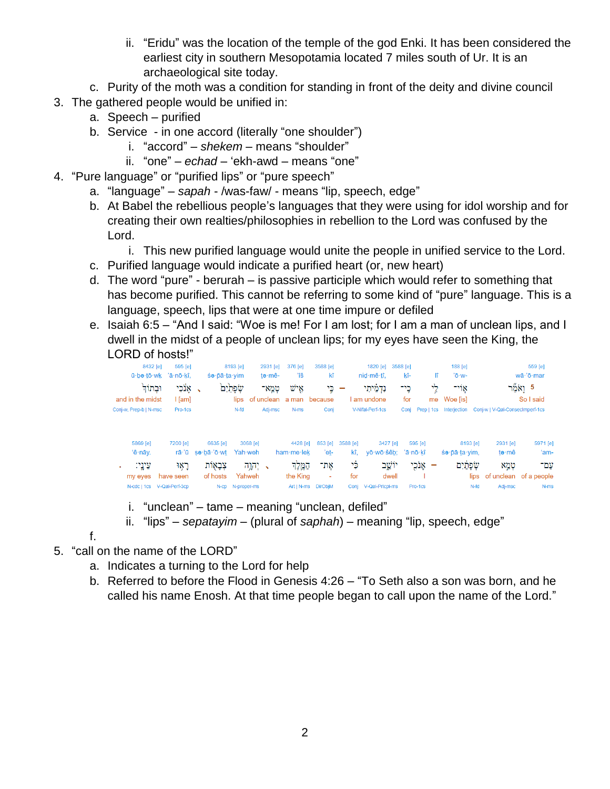- ii. "Eridu" was the location of the temple of the god Enki. It has been considered the earliest city in southern Mesopotamia located 7 miles south of Ur. It is an archaeological site today.
- c. Purity of the moth was a condition for standing in front of the deity and divine council
- 3. The gathered people would be unified in:
	- a. Speech purified
	- b. Service in one accord (literally "one shoulder")
		- i. "accord" *shekem* means "shoulder"
		- ii. "one" *echad* 'ekh-awd means "one"
- 4. "Pure language" or "purified lips" or "pure speech"
	- a. "language" *sapah* /was-faw/ means "lip, speech, edge"
	- b. At Babel the rebellious people's languages that they were using for idol worship and for creating their own realties/philosophies in rebellion to the Lord was confused by the Lord.
		- i. This new purified language would unite the people in unified service to the Lord.
	- c. Purified language would indicate a purified heart (or, new heart)
	- d. The word "pure" berurah is passive participle which would refer to something that has become purified. This cannot be referring to some kind of "pure" language. This is a language, speech, lips that were at one time impure or defiled
	- e. Isaiah 6:5 "And I said: "Woe is me! For I am lost; for I am a man of unclean lips, and I dwell in the midst of a people of unclean lips; for my eyes have seen the King, the LORD of hosts!"

| 8432 [e]<br>ū∙bə∙tō∙wk        | 595 [e]<br>'ā∙nō∙kî.                    | $\sin \theta$ -pā·ta·yim | 8193 [e]                | 2931 [e]<br>te-mê- | 376 [e]<br>ïš            | 3588 [e]<br>kî      |             | 1820 [e]<br>nid·mê·tî.        | 3588 [e]<br>kî- | lî.                                 | $188$ [e]<br>'ō·w-     |                                 | 559 [e]<br>wā·'ō·mar   |
|-------------------------------|-----------------------------------------|--------------------------|-------------------------|--------------------|--------------------------|---------------------|-------------|-------------------------------|-----------------|-------------------------------------|------------------------|---------------------------------|------------------------|
| וּבִתוֹדְ<br>and in the midst | ַ אֲנֹכִי<br>l [am]                     |                          | שפתים<br>lips           | טמא־<br>of unclean | איש<br>a man because     | כֵי                 |             | נדמיתי<br>I am undone         | כֶי־<br>for     | לי                                  | אוי־<br>me Woe [is]    |                                 | 5 וַאֹמֵר<br>So I said |
| Conj-w, Prep-b   N-msc        | Pro-1cs                                 |                          | N-fd                    | Adj-msc            | N-ms                     | Conj                |             | V-Nifal-Perf-1cs              | Coni            | Prep   1cs                          | Interiection           | Coni-w   V-Qal-Consecimperf-1cs |                        |
| 5869 [e]                      | 7200 [e]                                | 6635 [e]                 | 3068 [e]                |                    | 4428 [e]                 | 853 [e]             | 3588 [e]    | 3427 [e]                      | 595 [e]         |                                     | 8193 [e]               | 2931 [e]                        | 5971 [e]               |
| 'ê-nāy.<br>עֵינֵי:            | rā 'ū<br>ראו                            | sə·bā·'ō·wt<br>צְבָאָוֹת | Yah weh<br>יקול $\cdot$ |                    | ham-me-lek<br>המלד       | 'et-<br>את־         | kî.<br>چ٠   | vō·wō·šêb: 'ā·nō·kî<br>יוֹשֱב |                 | אָנֹכְי<br>$\overline{\phantom{a}}$ | śə·pā·ta·yim,<br>שפתים | te∙mê<br>טמא                    | 'am-<br>עם־            |
| my eyes                       | have seen<br>N-cdc   1cs V-Qal-Perf-3cp | of hosts<br>$N$ -CD      | Yahweh<br>N-proper-ms   |                    | the King<br>$Art   N-ms$ | ٠<br><b>DirObjM</b> | for<br>Conj | dwell<br>V-Qal-Prtcpl-ms      | Pro-1cs         |                                     | lips<br>N-fd           | of unclean<br>Adj-msc           | of a people<br>N-ms    |

- i. "unclean" tame meaning "unclean, defiled"
- ii. "lips" *sepatayim* (plural of *saphah*) meaning "lip, speech, edge"

f.

- 5. "call on the name of the LORD"
	- a. Indicates a turning to the Lord for help
	- b. Referred to before the Flood in Genesis 4:26 "To Seth also a son was born, and he called his name Enosh. At that time people began to call upon the name of the Lord."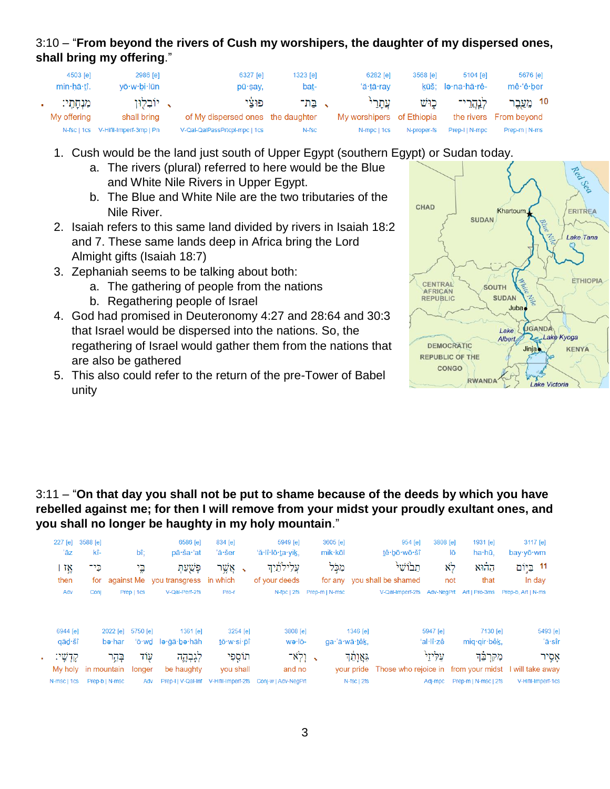## 3:10 – "**From beyond the rivers of Cush my worshipers, the daughter of my dispersed ones, shall bring my offering**."

| 4503 [e]<br>min·hā·tî.    | 2986 [e]<br>vō·w·bi·lūn      | 6327 [e]<br>pū·say,                       | $1323$ [e]<br>bat- | 6282 [e]<br>'ă·tā·rav             | 3568 [e]    | 5104 [e]<br>kūš; le·na·hă·rê- | 5676 [e]<br>mê 'ê ber                |
|---------------------------|------------------------------|-------------------------------------------|--------------------|-----------------------------------|-------------|-------------------------------|--------------------------------------|
| מִנְחָתֵי:<br>My offering | ּי יוֹבְלִוּן<br>shall bring | פוצי<br>of My dispersed ones the daughter | . בת־              | עתרי<br>My worshipers of Ethiopia | כוש         | לנהרי־                        | 10 מֱעֱבֵר<br>the rivers From beyond |
| N-fsc   1cs               | V-Hifil-Imperf-3mp   Pn      | V-Qal-QalPassPrtcpl-mpc   1cs             | N-fsc              | N-mpc   1cs                       | N-proper-fs | Prep-IIN-mpc                  | Prep-m   N-ms                        |

- 1. Cush would be the land just south of Upper Egypt (southern Egypt) or Sudan today.
	- a. The rivers (plural) referred to here would be the Blue and White Nile Rivers in Upper Egypt.
	- b. The Blue and White Nile are the two tributaries of the Nile River.
- 2. Isaiah refers to this same land divided by rivers in Isaiah 18:2 and 7. These same lands deep in Africa bring the Lord Almight gifts (Isaiah 18:7)
- 3. Zephaniah seems to be talking about both:
	- a. The gathering of people from the nations
	- b. Regathering people of Israel
- 4. God had promised in Deuteronomy 4:27 and 28:64 and 30:3 that Israel would be dispersed into the nations. So, the regathering of Israel would gather them from the nations that are also be gathered
- 5. This also could refer to the return of the pre-Tower of Babel unity



#### 3:11 – "**On that day you shall not be put to shame because of the deeds by which you have rebelled against me; for then I will remove from your midst your proudly exultant ones, and you shall no longer be haughty in my holy mountain**."

| $227$ [e]   | 3588 [e]            |                |            | 6586 [e]                               | 834 [e]    | 5949 [e]                               | 3605 [e]       |                             | 954 [e]          | 3808 [e]   | 1931 [e]             | 3117 [e]                                                         |
|-------------|---------------------|----------------|------------|----------------------------------------|------------|----------------------------------------|----------------|-----------------------------|------------------|------------|----------------------|------------------------------------------------------------------|
| 'āz         | kî-                 |                | bî;        | pā·ša·'at                              | 'ă·šer     | 'ă·lî·lō·ta·yik,                       | mik·kōl        |                             | tê bō wō šî      | lō         | ha·hū,               | $bay-y\bar{o} \cdot w\bar{m}$                                    |
| ١Ņ          | כֵי־                |                | ڀر         | פְּשֵׁעַהְ                             | אָשֶׁר     | עֲלִילוֹזַיִך                          | מִלֵּל         |                             | תבושי            | $\aleph$   | ההוא                 | 11 בַיִּוֹם                                                      |
| then        |                     |                |            | for against Me you transgress in which |            | of your deeds                          |                | for any you shall be shamed |                  | not        | that                 | In day                                                           |
| Adv         | Conj                |                | Prep   1cs | V-Qal-Perf-2fs                         | Pro-r      | N-fpc   2fs                            | Prep-m   N-msc |                             | V-Qal-Imperf-2fs | Adv-NegPrt | Art   Pro-3ms        | Prep-b, Art   N-ms                                               |
|             |                     |                |            |                                        |            |                                        |                |                             |                  |            |                      |                                                                  |
| 6944 [e]    |                     | 2022 [e]       | 5750 [e]   | $1361$ [e]                             | 3254 [e]   | 3808 [e]                               |                | 1346 [e]                    |                  | 5947 [e]   | 7130 [e]             | 5493 [e]                                                         |
| qād·šî      |                     | bə·har         |            | 'ō·wd lə·āā·bə·hāh                     | tō·w·si·pî | wə·lō-                                 |                | ga·'ă·wā·têk.               |                  | 'al·lî·zê  | mig-gir-bêk,         | 'ā∙sîr                                                           |
| קַדְשֵׁי:   |                     | בְּהָר         | עוד        | לְגָבְהֶה                              | תוֹסֵפִי   | - ולא־                                 |                | גאַנְמִד                    |                  | עליזי      | מִקְרַבֵּה           | אָסֶיר                                                           |
|             | My holy in mountain |                | longer     | be haughty                             | you shall  | and no                                 |                |                             |                  |            |                      | your pride Those who rejoice in from your midst I will take away |
| N-msc   1cs |                     | Prep-b   N-msc | Adv        | Prep-IIV-Qal-Inf                       |            | V-Hifil-Imperf-2fs Conj-w   Adv-NegPrt |                | N-fsc   2fs                 |                  | Adj-mpc    | Prep-m   N-msc   2fs | V-Hifil-Imperf-1cs                                               |